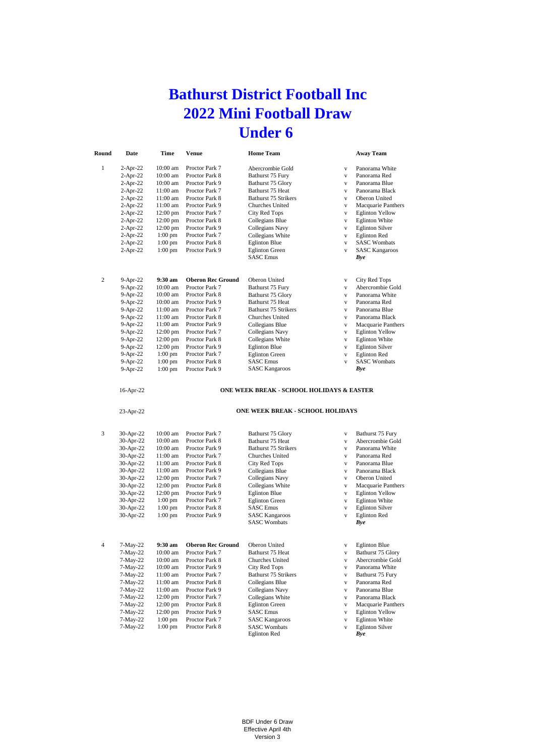# **Bathurst District Football Inc 2022 Mini Football Draw Under 6**

| Round          | Date        | Time               | <b>Venue</b>             | <b>Home Team</b>                                     |              | <b>Away Team</b>       |
|----------------|-------------|--------------------|--------------------------|------------------------------------------------------|--------------|------------------------|
| 1              | $2$ -Apr-22 | 10:00 am           | Proctor Park 7           | Abercrombie Gold                                     | V            | Panorama White         |
|                | $2-Apr-22$  | $10:00$ am         | Proctor Park 8           | Bathurst 75 Fury                                     | v            | Panorama Red           |
|                | $2-Apr-22$  | 10:00 am           | Proctor Park 9           | Bathurst 75 Glory                                    | V            | Panorama Blue          |
|                | $2-Apr-22$  | 11:00 am           | Proctor Park 7           | Bathurst 75 Heat                                     | V            | Panorama Black         |
|                | $2-Apr-22$  | $11:00$ am         | Proctor Park 8           | <b>Bathurst 75 Strikers</b>                          | $\mathbf v$  | Oberon United          |
|                | $2-Apr-22$  | $11:00$ am         | Proctor Park 9           | Churches United                                      | v            | Macquarie Panthers     |
|                | $2-Apr-22$  | $12:00 \text{ pm}$ | Proctor Park 7           | City Red Tops                                        | $\mathbf v$  | <b>Eglinton Yellow</b> |
|                | $2-Apr-22$  | $12:00 \text{ pm}$ | Proctor Park 8           | Collegians Blue                                      | V            | <b>Eglinton White</b>  |
|                | $2-Apr-22$  | $12:00$ pm         | Proctor Park 9           | Collegians Navy                                      | V            | <b>Eglinton Silver</b> |
|                | $2-Apr-22$  | $1:00$ pm          | Proctor Park 7           | Collegians White                                     | V            | <b>Eglinton Red</b>    |
|                | $2-Apr-22$  | $1:00$ pm          | Proctor Park 8           | <b>Eglinton Blue</b>                                 | v            | <b>SASC Wombats</b>    |
|                | $2-Apr-22$  | $1:00$ pm          | Proctor Park 9           | <b>Eglinton</b> Green                                | V            | <b>SASC Kangaroos</b>  |
|                |             |                    |                          | <b>SASC</b> Emus                                     |              | Bye                    |
| $\overline{c}$ | $9-Apr-22$  | $9:30$ am          | <b>Oberon Rec Ground</b> | Oberon United                                        | V            | City Red Tops          |
|                | 9-Apr-22    | $10:00$ am         | Proctor Park 7           | Bathurst 75 Fury                                     | V            | Abercrombie Gold       |
|                | 9-Apr-22    | $10:00$ am         | Proctor Park 8           | Bathurst 75 Glory                                    | v            | Panorama White         |
|                | $9-Apr-22$  | $10:00$ am         | Proctor Park 9           | Bathurst 75 Heat                                     | $\mathbf{v}$ | Panorama Red           |
|                | $9-Apr-22$  | $11:00$ am         | Proctor Park 7           | <b>Bathurst 75 Strikers</b>                          | $\mathbf{v}$ | Panorama Blue          |
|                | $9-Apr-22$  | $11:00$ am         | Proctor Park 8           | Churches United                                      | v            | Panorama Black         |
|                | $9-Apr-22$  | $11:00$ am         | Proctor Park 9           | Collegians Blue                                      | $\mathbf v$  | Macquarie Panthers     |
|                | 9-Apr-22    | $12:00 \text{ pm}$ | Proctor Park 7           | Collegians Navy                                      | V            | <b>Eglinton Yellow</b> |
|                | 9-Apr-22    | 12:00 pm           | Proctor Park 8           | Collegians White                                     | V            | <b>Eglinton White</b>  |
|                | 9-Apr-22    | $12:00$ pm         | Proctor Park 9           | <b>Eglinton Blue</b>                                 | V            | <b>Eglinton Silver</b> |
|                | 9-Apr-22    | $1:00$ pm          | Proctor Park 7           | <b>Eglinton Green</b>                                | V            | <b>Eglinton Red</b>    |
|                | 9-Apr-22    | $1:00$ pm          | Proctor Park 8           | <b>SASC Emus</b>                                     | v            | <b>SASC Wombats</b>    |
|                | $9-Apr-22$  | $1:00$ pm          | Proctor Park 9           | <b>SASC Kangaroos</b>                                |              | Bye                    |
|                | 16-Apr-22   |                    |                          | <b>ONE WEEK BREAK - SCHOOL HOLIDAYS &amp; EASTER</b> |              |                        |

#### **ONE WEEK BREAK - SCHOOL HOLIDAYS & EASTER**

23-Apr-22

#### **ONE WEEK BREAK - SCHOOL HOLIDAYS**

| 3 | $30-Apr-22$ | $10:00$ am         | Proctor Park 7           | Bathurst 75 Glory           | V            | Bathurst 75 Fury       |
|---|-------------|--------------------|--------------------------|-----------------------------|--------------|------------------------|
|   | 30-Apr-22   | $10:00$ am         | Proctor Park 8           | Bathurst 75 Heat            | v            | Abercrombie Gold       |
|   | 30-Apr-22   | $10:00$ am         | Proctor Park 9           | Bathurst 75 Strikers        | v            | Panorama White         |
|   | 30-Apr-22   | 11:00 am           | Proctor Park 7           | Churches United             | $\mathbf{V}$ | Panorama Red           |
|   | 30-Apr-22   | $11:00$ am         | Proctor Park 8           | City Red Tops               | v            | Panorama Blue          |
|   | 30-Apr-22   | $11:00$ am         | Proctor Park 9           | Collegians Blue             | v            | Panorama Black         |
|   | 30-Apr-22   | $12:00$ pm         | Proctor Park 7           | Collegians Navy             | $\mathbf{V}$ | Oberon United          |
|   | 30-Apr-22   | $12:00$ pm         | Proctor Park 8           | Collegians White            | v            | Macquarie Panthers     |
|   | 30-Apr-22   | $12:00$ pm         | Proctor Park 9           | <b>Eglinton Blue</b>        | V            | <b>Eglinton Yellow</b> |
|   | 30-Apr-22   | $1:00$ pm          | Proctor Park 7           | <b>Eglinton Green</b>       | V            | <b>Eglinton White</b>  |
|   | 30-Apr-22   | $1:00$ pm          | Proctor Park 8           | <b>SASC Emus</b>            | v            | <b>Eglinton Silver</b> |
|   | 30-Apr-22   | $1:00$ pm          | Proctor Park 9           | <b>SASC Kangaroos</b>       | $\mathbf{V}$ | <b>Eglinton Red</b>    |
|   |             |                    |                          | <b>SASC Wombats</b>         |              | Bye                    |
|   |             |                    |                          |                             |              |                        |
|   |             |                    |                          |                             |              |                        |
| 4 | $7-May-22$  | $9:30 \text{ am}$  | <b>Oberon Rec Ground</b> | Oberon United               | V            | <b>Eglinton Blue</b>   |
|   | $7-May-22$  | $10:00$ am         | Proctor Park 7           | Bathurst 75 Heat            | v            | Bathurst 75 Glory      |
|   | $7-May-22$  | $10:00$ am         | Proctor Park 8           | Churches United             | v            | Abercrombie Gold       |
|   | $7-May-22$  | $10:00$ am         | Proctor Park 9           | City Red Tops               | v            | Panorama White         |
|   | $7-May-22$  | 11:00 am           | Proctor Park 7           | <b>Bathurst 75 Strikers</b> | v            | Bathurst 75 Fury       |
|   | $7-May-22$  | $11:00$ am         | Proctor Park 8           | Collegians Blue             | $\mathbf{V}$ | Panorama Red           |
|   | $7-May-22$  | $11:00$ am         | Proctor Park 9           | Collegians Navy             | V            | Panorama Blue          |
|   | $7-May-22$  | $12:00 \text{ pm}$ | Proctor Park 7           | Collegians White            | V            | Panorama Black         |
|   | $7-May-22$  | $12:00$ pm         | Proctor Park 8           | <b>Eglinton Green</b>       | V            | Macquarie Panthers     |
|   | $7-May-22$  | $12:00$ pm         | Proctor Park 9           | <b>SASC</b> Emus            | V            | <b>Eglinton Yellow</b> |
|   | $7-May-22$  | $1:00$ pm          | Proctor Park 7           | <b>SASC Kangaroos</b>       | V            | <b>Eglinton White</b>  |
|   | $7-May-22$  | $1:00$ pm          | Proctor Park 8           | <b>SASC Wombats</b>         | V            | <b>Eglinton Silver</b> |
|   |             |                    |                          | <b>Eglinton Red</b>         |              | Bve                    |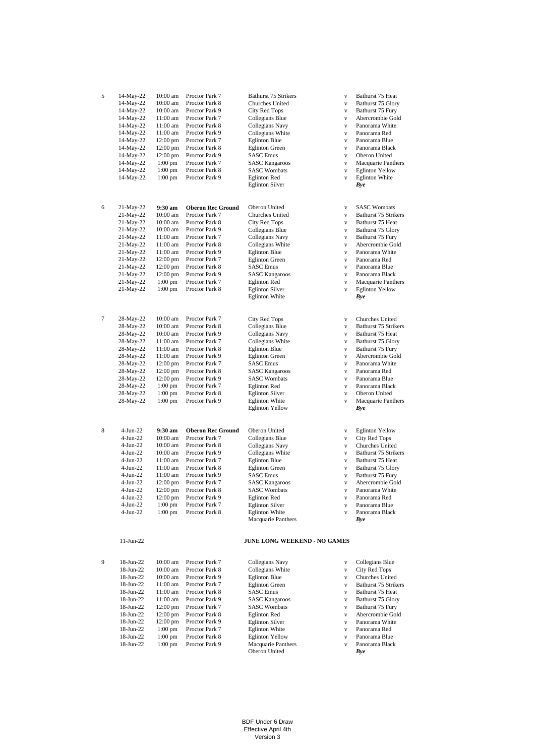| 5 | 14-May-22    | 10:00 am           | Proctor Park 7           | Bathurst 75 Strikers         | $\mathbf{V}$ | Bathurst 75 Heat            |
|---|--------------|--------------------|--------------------------|------------------------------|--------------|-----------------------------|
|   | 14-May-22    | 10:00 am           | Proctor Park 8           | Churches United              | $\mathbf{V}$ | Bathurst 75 Glory           |
|   | 14-May-22    | 10:00 am           |                          | City Red Tops                | $\mathbf{V}$ | Bathurst 75 Fury            |
|   |              |                    | Proctor Park 9           |                              |              |                             |
|   | 14-May-22    | 11:00 am           | Proctor Park 7           | Collegians Blue              | $\mathbf{V}$ | Abercrombie Gold            |
|   | 14-May-22    | 11:00 am           | Proctor Park 8           | Collegians Navy              | $\mathbf{V}$ | Panorama White              |
|   | 14-May-22    | 11:00 am           | Proctor Park 9           | Collegians White             | $\mathbf{V}$ | Panorama Red                |
|   | 14-May-22    | $12:00$ pm         | Proctor Park 7           | <b>Eglinton Blue</b>         | $\mathbf{V}$ | Panorama Blue               |
|   | 14-May-22    | 12:00 pm           | Proctor Park 8           | <b>Eglinton Green</b>        | $\mathbf{V}$ | Panorama Black              |
|   |              | 12:00 pm           | Proctor Park 9           |                              |              |                             |
|   | 14-May-22    |                    |                          | <b>SASC</b> Emus             | $\mathbf{V}$ | Oberon United               |
|   | 14-May-22    | $1:00$ pm          | Proctor Park 7           | <b>SASC Kangaroos</b>        | $\mathbf{V}$ | Macquarie Panthers          |
|   | 14-May-22    | $1:00$ pm          | Proctor Park 8           | <b>SASC Wombats</b>          | $\mathbf{V}$ | <b>Eglinton Yellow</b>      |
|   | 14-May-22    | $1:00$ pm          | Proctor Park 9           | <b>Eglinton Red</b>          | $\mathbf{V}$ | <b>Eglinton White</b>       |
|   |              |                    |                          | <b>Eglinton Silver</b>       |              | Bye                         |
|   |              |                    |                          |                              |              |                             |
|   |              |                    |                          |                              |              |                             |
| 6 | 21-May-22    | 9:30 am            | <b>Oberon Rec Ground</b> | Oberon United                | $\mathbf{V}$ | <b>SASC Wombats</b>         |
|   | 21-May-22    | 10:00 am           | Proctor Park 7           | Churches United              | $\mathbf{V}$ | <b>Bathurst 75 Strikers</b> |
|   | 21-May-22    | 10:00 am           | Proctor Park 8           | City Red Tops                | $\mathbf{V}$ | Bathurst 75 Heat            |
|   | 21-May-22    | 10:00 am           | Proctor Park 9           | Collegians Blue              | $\mathbf{V}$ | Bathurst 75 Glory           |
|   | 21-May-22    | 11:00 am           | Proctor Park 7           |                              |              |                             |
|   |              |                    |                          | Collegians Navy              | $\mathbf{V}$ | Bathurst 75 Fury            |
|   | 21-May-22    | 11:00 am           | Proctor Park 8           | Collegians White             | $\mathbf{v}$ | Abercrombie Gold            |
|   | 21-May-22    | 11:00 am           | Proctor Park 9           | <b>Eglinton Blue</b>         | $\mathbf{V}$ | Panorama White              |
|   | 21-May-22    | $12:00 \text{ pm}$ | Proctor Park 7           | <b>Eglinton Green</b>        | $\mathbf{V}$ | Panorama Red                |
|   | 21-May-22    | $12:00$ pm         | Proctor Park 8           | <b>SASC Emus</b>             | $\mathbf{V}$ | Panorama Blue               |
|   | $21-May-22$  | 12:00 pm           | Proctor Park 9           | <b>SASC Kangaroos</b>        | $\mathbf{V}$ | Panorama Black              |
|   |              |                    |                          |                              |              |                             |
|   | 21-May-22    | $1:00$ pm          | Proctor Park 7           | <b>Eglinton Red</b>          | $\mathbf{V}$ | Macquarie Panthers          |
|   | 21-May-22    | $1:00$ pm          | Proctor Park 8           | <b>Eglinton Silver</b>       | $\mathbf{V}$ | <b>Eglinton Yellow</b>      |
|   |              |                    |                          | <b>Eglinton White</b>        |              | Bye                         |
|   |              |                    |                          |                              |              |                             |
| 7 | 28-May-22    | 10:00 am           | Proctor Park 7           | City Red Tops                | $\mathbf{V}$ | Churches United             |
|   | 28-May-22    | 10:00 am           | Proctor Park 8           | Collegians Blue              | $\mathbf{V}$ | <b>Bathurst 75 Strikers</b> |
|   |              |                    | Proctor Park 9           | Collegians Navy              | $\mathbf{V}$ |                             |
|   | 28-May-22    | 10:00 am           |                          |                              |              | Bathurst 75 Heat            |
|   | 28-May-22    | 11:00 am           | Proctor Park 7           | Collegians White             | $\mathbf{V}$ | Bathurst 75 Glory           |
|   | 28-May-22    | 11:00 am           | Proctor Park 8           | <b>Eglinton Blue</b>         | $\mathbf{V}$ | Bathurst 75 Fury            |
|   | 28-May-22    | 11:00 am           | Proctor Park 9           | <b>Eglinton Green</b>        | $\mathbf{V}$ | Abercrombie Gold            |
|   | 28-May-22    | $12:00 \text{ pm}$ | Proctor Park 7           | <b>SASC Emus</b>             | $\mathbf{V}$ | Panorama White              |
|   | 28-May-22    | $12:00$ pm         | Proctor Park 8           | <b>SASC Kangaroos</b>        | $\mathbf{V}$ | Panorama Red                |
|   |              |                    |                          |                              |              |                             |
|   | 28-May-22    | 12:00 pm           | Proctor Park 9           | <b>SASC Wombats</b>          | $\mathbf{V}$ | Panorama Blue               |
|   | 28-May-22    | $1:00$ pm          | Proctor Park 7           | <b>Eglinton Red</b>          | $\mathbf{V}$ | Panorama Black              |
|   | 28-May-22    | $1:00$ pm          | Proctor Park 8           | <b>Eglinton Silver</b>       | $\mathbf{V}$ | Oberon United               |
|   | 28-May-22    | $1:00$ pm          | Proctor Park 9           | <b>Eglinton White</b>        | $\mathbf{V}$ | Macquarie Panthers          |
|   |              |                    |                          | <b>Eglinton Yellow</b>       |              | Bye                         |
|   |              |                    |                          |                              |              |                             |
| 8 | $4-Jun-22$   | 9:30 am            | <b>Oberon Rec Ground</b> | Oberon United                | $\mathbf{V}$ | <b>Eglinton Yellow</b>      |
|   |              |                    |                          |                              |              |                             |
|   | $4-Jun-22$   | 10:00 am           | Proctor Park 7           | Collegians Blue              | $\mathbf{V}$ | City Red Tops               |
|   | $4-Jun-22$   | $10:00$ am         | Proctor Park 8           | Collegians Navy              | $\mathbf{V}$ | Churches United             |
|   | 4-Jun-22     | 10:00 am           | Proctor Park 9           | Collegians White             | $\mathbf{V}$ | Bathurst 75 Strikers        |
|   | $4-Jun-22$   | 11:00 am           | Proctor Park 7           | <b>Eglinton Blue</b>         | $\mathbf{V}$ | Bathurst 75 Heat            |
|   | $4-Jun-22$   | 11:00 am           | Proctor Park 8           | <b>Eglinton Green</b>        | $\mathbf{V}$ | Bathurst 75 Glory           |
|   | $4$ -Jun-22  | 11:00 am           | Proctor Park 9           |                              |              |                             |
|   |              |                    |                          | <b>SASC Emus</b>             | $\mathbf{V}$ | Bathurst 75 Fury            |
|   | $4-Jun-22$   | $12:00 \text{ pm}$ | Proctor Park 7           | <b>SASC Kangaroos</b>        | $\mathbf{V}$ | Abercrombie Gold            |
|   | $4$ -Jun-22  | 12:00 pm           | Proctor Park 8           | <b>SASC Wombats</b>          | $\mathbf{v}$ | Panorama White              |
|   | 4-Jun-22     | 12:00 pm           | Proctor Park 9           | <b>Eglinton Red</b>          | $\mathbf{V}$ | Panorama Red                |
|   | 4-Jun-22     | $1:00$ pm          | Proctor Park 7           | <b>Eglinton Silver</b>       | $\mathbf{V}$ | Panorama Blue               |
|   | 4-Jun-22     | $1:00$ pm          | Proctor Park 8           | <b>Eglinton White</b>        | $\mathbf v$  | Panorama Black              |
|   |              |                    |                          | Macquarie Panthers           |              | Bye                         |
|   |              |                    |                          |                              |              |                             |
|   | $11$ -Jun-22 |                    |                          | JUNE LONG WEEKEND - NO GAMES |              |                             |
|   |              |                    |                          |                              |              |                             |
| 9 | 18-Jun-22    | 10:00 am           | Proctor Park 7           | Collegians Navy              | $\mathbf{V}$ | Collegians Blue             |
|   | 18-Jun-22    | 10:00 am           | Proctor Park 8           | Collegians White             | $\mathbf{V}$ | City Red Tops               |
|   |              |                    | Proctor Park 9           | <b>Eglinton Blue</b>         |              | Churches United             |
|   | 18-Jun-22    | 10:00 am           |                          |                              | $\mathbf{V}$ |                             |
|   | 18-Jun-22    | 11:00 am           | Proctor Park 7           | <b>Eglinton Green</b>        | $\mathbf{v}$ | Bathurst 75 Strikers        |
|   | 18-Jun-22    | 11:00 am           | Proctor Park 8           | <b>SASC Emus</b>             | $\mathbf{V}$ | Bathurst 75 Heat            |
|   | 18-Jun-22    | 11:00 am           | Proctor Park 9           | <b>SASC Kangaroos</b>        | $\mathbf{V}$ | Bathurst 75 Glory           |
|   | 18-Jun-22    | 12:00 pm           | Proctor Park 7           | <b>SASC Wombats</b>          | $\mathbf{V}$ | Bathurst 75 Fury            |
|   | 18-Jun-22    | $12:00 \text{ pm}$ | Proctor Park 8           | <b>Eglinton Red</b>          | $\mathbf{V}$ | Abercrombie Gold            |
|   | 18-Jun-22    | $12:00 \text{ pm}$ | Proctor Park 9           | <b>Eglinton Silver</b>       | $\mathbf{v}$ | Panorama White              |
|   |              |                    |                          |                              |              |                             |
|   | 18-Jun-22    | $1:00$ pm          | Proctor Park 7           | <b>Eglinton White</b>        | $\mathbf{V}$ | Panorama Red                |
|   | 18-Jun-22    | $1:00$ pm          | Proctor Park 8           | <b>Eglinton Yellow</b>       | $\mathbf{V}$ | Panorama Blue               |
|   | 18-Jun-22    | $1:00$ pm          | Proctor Park 9           | Macquarie Panthers           | $\mathbf{V}$ | Panorama Black              |
|   |              |                    |                          | Oberon United                |              | Bye                         |

BDF Under 6 Draw Effective April 4th Version 3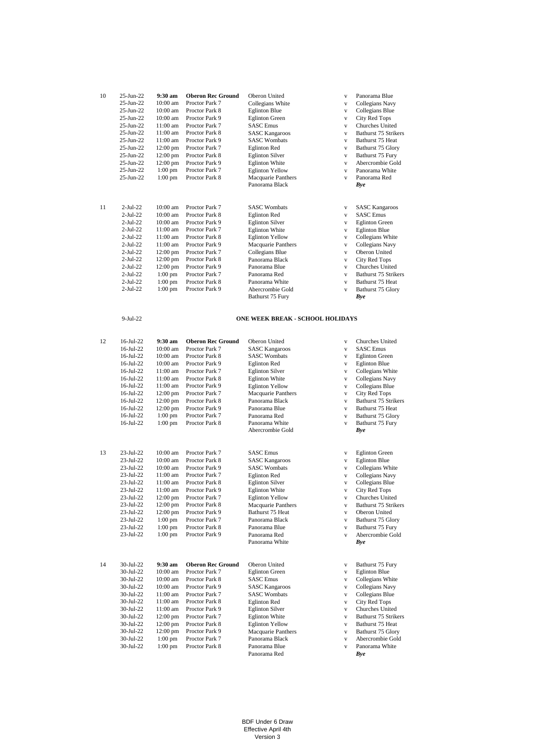| 10 | 25-Jun-22       | $9:30 \text{ am}$  | <b>Oberon Rec Ground</b> | Oberon United          | $\mathbf{V}$ | Panorama Blue          |
|----|-----------------|--------------------|--------------------------|------------------------|--------------|------------------------|
|    | $25 - Jun-22$   | $10:00$ am         | Proctor Park 7           | Collegians White       | V            | Collegians Navy        |
|    | $25$ -Jun- $22$ | $10:00$ am         | Proctor Park 8           | <b>Eglinton Blue</b>   | V            | Collegians Blue        |
|    | $25$ -Jun- $22$ | $10:00$ am         | Proctor Park 9           | <b>Eglinton Green</b>  | V            | City Red Tops          |
|    | $25$ -Jun- $22$ | 11:00 am           | Proctor Park 7           | <b>SASC</b> Emus       | v            | <b>Churches United</b> |
|    | $25-Jun-22$     | 11:00 am           | Proctor Park 8           | <b>SASC Kangaroos</b>  | $\mathbf{v}$ | Bathurst 75 Strikers   |
|    | $25$ -Jun- $22$ | $11:00$ am         | Proctor Park 9           | <b>SASC Wombats</b>    | $\mathbf{V}$ | Bathurst 75 Heat       |
|    | 25-Jun-22       | $12:00 \text{ pm}$ | Proctor Park 7           | <b>Eglinton Red</b>    | V            | Bathurst 75 Glory      |
|    | $25$ -Jun- $22$ | $12:00 \text{ pm}$ | Proctor Park 8           | <b>Eglinton Silver</b> | v            | Bathurst 75 Fury       |
|    | $25$ -Jun- $22$ | $12:00$ pm         | Proctor Park 9           | <b>Eglinton White</b>  | v            | Abercrombie Gold       |
|    | $25 - Jun-22$   | $1:00$ pm          | Proctor Park 7           | <b>Eglinton Yellow</b> | v            | Panorama White         |
|    | $25$ -Jun- $22$ | $1:00$ pm          | Proctor Park 8           | Macquarie Panthers     | v            | Panorama Red           |
|    |                 |                    |                          | Panorama Black         |              | Bye                    |
|    |                 |                    |                          |                        |              |                        |
|    |                 |                    |                          |                        |              |                        |
| 11 | $2-Jul-22$      | $10:00$ am         | Proctor Park 7           | <b>SASC Wombats</b>    | V            | <b>SASC Kangaroos</b>  |
|    | $2-Jul-22$      | $10:00$ am         | Proctor Park 8           | <b>Eglinton Red</b>    | V            | <b>SASC Emus</b>       |
|    | $2-Jul-22$      | $10:00$ am         | Proctor Park 9           | <b>Eglinton Silver</b> | v            | <b>Eglinton Green</b>  |
|    | $2-Jul-22$      | $11:00$ am         | Proctor Park 7           | <b>Eglinton White</b>  | $\mathbf{V}$ | <b>Eglinton Blue</b>   |
|    | $2-Jul-22$      | 11:00 am           | Proctor Park 8           | <b>Eglinton Yellow</b> | V            | Collegians White       |
|    | $2-Jul-22$      | 11:00 am           | Proctor Park 9           | Macquarie Panthers     | V            | Collegians Navy        |
|    | $2-Jul-22$      | $12:00 \text{ pm}$ | Proctor Park 7           | Collegians Blue        | $\mathbf{V}$ | Oberon United          |
|    | $2-Jul-22$      | $12:00 \text{ pm}$ | Proctor Park 8           | Panorama Black         | V            | City Red Tops          |
|    | $2-Jul-22$      | $12:00 \text{ pm}$ | Proctor Park 9           | Panorama Blue          | v            | Churches United        |
|    | $2-Jul-22$      | $1:00$ pm          | Proctor Park 7           | Panorama Red           | $\mathbf{V}$ | Bathurst 75 Strikers   |
|    | $2-Jul-22$      | $1:00$ pm          | Proctor Park 8           | Panorama White         | $\mathbf{V}$ | Bathurst 75 Heat       |
|    | $2-Jul-22$      | $1:00$ pm          | Proctor Park 9           | Abercrombie Gold       | $\mathbf{V}$ | Bathurst 75 Glory      |
|    |                 |                    |                          | Bathurst 75 Fury       |              | Bve                    |

```
9-Jul-22
```
### **ONE WEEK BREAK - SCHOOL HOLIDAYS**

| 12 | $16$ -Jul-22 | $9:30$ am         | <b>Oberon Rec Ground</b> | Oberon United          | v            | <b>Churches United</b>                   |
|----|--------------|-------------------|--------------------------|------------------------|--------------|------------------------------------------|
|    | $16$ -Jul-22 | $10:00$ am        | Proctor Park 7           | <b>SASC Kangaroos</b>  | $\mathbf{v}$ | <b>SASC</b> Emus                         |
|    | $16$ -Jul-22 | $10:00$ am        | Proctor Park 8           | <b>SASC Wombats</b>    | v            | <b>Eglinton Green</b>                    |
|    | $16$ -Jul-22 | $10:00$ am        | Proctor Park 9           | <b>Eglinton Red</b>    | $\mathbf{v}$ | <b>Eglinton Blue</b>                     |
|    | $16$ -Jul-22 | 11:00 am          | Proctor Park 7           | <b>Eglinton Silver</b> | v            | Collegians White                         |
|    | $16$ -Jul-22 | 11:00 am          | Proctor Park 8           | <b>Eglinton White</b>  | $\mathbf{v}$ | Collegians Navy                          |
|    | 16-Jul-22    | 11:00 am          | Proctor Park 9           | <b>Eglinton Yellow</b> | $\mathbf{V}$ | Collegians Blue                          |
|    | $16$ -Jul-22 | $12:00$ pm        | Proctor Park 7           | Macquarie Panthers     | v            | <b>City Red Tops</b>                     |
|    | 16-Jul-22    | 12:00 pm          | Proctor Park 8           | Panorama Black         | v            | Bathurst 75 Strikers                     |
|    | 16-Jul-22    | 12:00 pm          | Proctor Park 9           | Panorama Blue          | $\mathbf{v}$ | Bathurst 75 Heat                         |
|    | 16-Jul-22    | $1:00$ pm         | Proctor Park 7           | Panorama Red           | $\mathbf{V}$ | Bathurst 75 Glory                        |
|    | 16-Jul-22    | $1:00$ pm         | Proctor Park 8           | Panorama White         | $\mathbf{V}$ | Bathurst 75 Fury                         |
|    |              |                   |                          | Abercrombie Gold       |              | Bye                                      |
| 13 | 23-Jul-22    | $10:00$ am        | Proctor Park 7           | <b>SASC</b> Emus       | v            | <b>Eglinton Green</b>                    |
|    | 23-Jul-22    | 10:00 am          | Proctor Park 8           | <b>SASC Kangaroos</b>  | $\mathbf{v}$ | <b>Eglinton Blue</b>                     |
|    | 23-Jul-22    | 10:00 am          | Proctor Park 9           | <b>SASC Wombats</b>    | v            | Collegians White                         |
|    | 23-Jul-22    | 11:00 am          | Proctor Park 7           | <b>Eglinton Red</b>    | $\mathbf{V}$ | Collegians Navy                          |
|    | 23-Jul-22    | 11:00 am          | Proctor Park 8           | <b>Eglinton Silver</b> | v            | Collegians Blue                          |
|    | 23-Jul-22    | 11:00 am          | Proctor Park 9           | <b>Eglinton White</b>  | $\mathbf{v}$ | City Red Tops                            |
|    | 23-Jul-22    | 12:00 pm          | Proctor Park 7           | <b>Eglinton Yellow</b> | v            | Churches United                          |
|    | 23-Jul-22    | 12:00 pm          | Proctor Park 8           | Macquarie Panthers     | $\mathbf{v}$ | Bathurst 75 Strikers                     |
|    | 23-Jul-22    | 12:00 pm          | Proctor Park 9           | Bathurst 75 Heat       | v            | Oberon United                            |
|    | 23-Jul-22    | $1:00$ pm         | Proctor Park 7           | Panorama Black         | v            | Bathurst 75 Glory                        |
|    | 23-Jul-22    | $1:00$ pm         | Proctor Park 8           | Panorama Blue          | $\mathbf{V}$ | Bathurst 75 Fury                         |
|    | 23-Jul-22    | $1:00$ pm         | Proctor Park 9           | Panorama Red           | $\mathbf{v}$ | Abercrombie Gold                         |
|    |              |                   |                          | Panorama White         |              | Bye                                      |
| 14 | 30-Jul-22    | $9:30 \text{ am}$ | <b>Oberon Rec Ground</b> | Oberon United          | $\mathbf{v}$ |                                          |
|    | 30-Jul-22    | 10:00 am          | Proctor Park 7           | <b>Eglinton</b> Green  | $\mathbf{v}$ | Bathurst 75 Fury<br><b>Eglinton Blue</b> |
|    | 30-Jul-22    | 10:00 am          | Proctor Park 8           | <b>SASC</b> Emus       | v            | Collegians White                         |
|    | 30-Jul-22    | 10:00 am          | Proctor Park 9           | <b>SASC Kangaroos</b>  | $\mathbf{v}$ | Collegians Navy                          |
|    | 30-Jul-22    | 11:00 am          | Proctor Park 7           | <b>SASC Wombats</b>    | $\mathbf{v}$ | Collegians Blue                          |
|    | 30-Jul-22    | 11:00 am          | Proctor Park 8           | <b>Eglinton Red</b>    | v            | <b>City Red Tops</b>                     |
|    | 30-Jul-22    | 11:00 am          | Proctor Park 9           | <b>Eglinton Silver</b> | v            | Churches United                          |
|    | 30-Jul-22    | 12:00 pm          | Proctor Park 7           | <b>Eglinton White</b>  | $\mathbf{v}$ | Bathurst 75 Strikers                     |
|    | 30-Jul-22    | 12:00 pm          | Proctor Park 8           | <b>Eglinton Yellow</b> | $\mathbf{v}$ | Bathurst 75 Heat                         |
|    | 30-Jul-22    | $12:00$ pm        | Proctor Park 9           | Macquarie Panthers     | v            | Bathurst 75 Glory                        |
|    | 30-Jul-22    | $1:00$ pm         | Proctor Park 7           | Panorama Black         | v            | Abercrombie Gold                         |
|    | 30-Jul-22    | $1:00$ pm         | Proctor Park 8           | Panorama Blue          | $\mathbf{v}$ | Panorama White                           |
|    |              |                   |                          | Panorama Red           |              | Bye                                      |
|    |              |                   |                          |                        |              |                                          |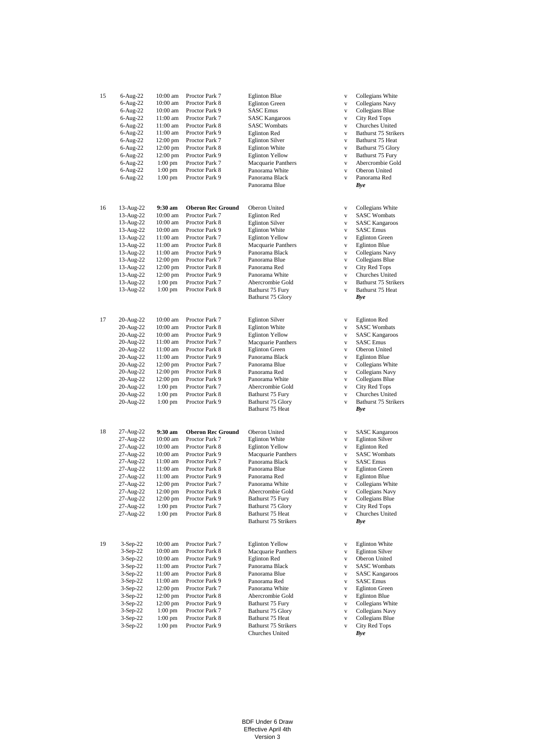| 15 | $6$ -Aug-22  | 10:00 am           | Proctor Park 7           | <b>Eglinton Blue</b>                            | V            | Collegians White       |
|----|--------------|--------------------|--------------------------|-------------------------------------------------|--------------|------------------------|
|    | 6-Aug-22     | 10:00 am           | Proctor Park 8           | <b>Eglinton Green</b>                           | $\mathbf{V}$ | Collegians Navy        |
|    | $6$ -Aug-22  | 10:00 am           | Proctor Park 9           | <b>SASC Emus</b>                                | $\mathbf{V}$ | Collegians Blue        |
|    | 6-Aug-22     | 11:00 am           | Proctor Park 7           | <b>SASC Kangaroos</b>                           | $\mathbf{V}$ | City Red Tops          |
|    |              |                    |                          |                                                 |              |                        |
|    | 6-Aug-22     | 11:00 am           | Proctor Park 8           | <b>SASC Wombats</b>                             | $\mathbf{V}$ | Churches United        |
|    | 6-Aug-22     | 11:00 am           | Proctor Park 9           | <b>Eglinton Red</b>                             | $\mathbf{V}$ | Bathurst 75 Strikers   |
|    | $6 - Aug-22$ | 12:00 pm           | Proctor Park 7           | <b>Eglinton Silver</b>                          | $\mathbf{V}$ | Bathurst 75 Heat       |
|    | 6-Aug-22     | 12:00 pm           | Proctor Park 8           | <b>Eglinton White</b>                           | $\mathbf{V}$ | Bathurst 75 Glory      |
|    | 6-Aug-22     | 12:00 pm           | Proctor Park 9           | <b>Eglinton Yellow</b>                          | $\mathbf{V}$ | Bathurst 75 Fury       |
|    | $6$ -Aug-22  | $1:00$ pm          | Proctor Park 7           | Macquarie Panthers                              | $\mathbf{V}$ | Abercrombie Gold       |
|    | 6-Aug-22     | $1:00$ pm          | Proctor Park 8           | Panorama White                                  | $\mathbf{V}$ | Oberon United          |
|    | 6-Aug-22     | $1:00$ pm          | Proctor Park 9           | Panorama Black                                  | $\mathbf{V}$ | Panorama Red           |
|    |              |                    |                          |                                                 |              |                        |
|    |              |                    |                          | Panorama Blue                                   |              | Bye                    |
|    |              |                    |                          |                                                 |              |                        |
| 16 | 13-Aug-22    | 9:30 am            | <b>Oberon Rec Ground</b> | Oberon United                                   | $\mathbf V$  | Collegians White       |
|    | 13-Aug-22    | 10:00 am           | Proctor Park 7           | <b>Eglinton Red</b>                             | $\mathbf{V}$ | <b>SASC Wombats</b>    |
|    | 13-Aug-22    | 10:00 am           | Proctor Park 8           | <b>Eglinton Silver</b>                          | $\mathbf{V}$ | <b>SASC Kangaroos</b>  |
|    | 13-Aug-22    | 10:00 am           | Proctor Park 9           | <b>Eglinton White</b>                           | $\mathbf{V}$ | <b>SASC Emus</b>       |
|    | 13-Aug-22    | 11:00 am           | Proctor Park 7           | <b>Eglinton Yellow</b>                          | $\mathbf{V}$ | <b>Eglinton Green</b>  |
|    |              |                    |                          |                                                 |              |                        |
|    | 13-Aug-22    | 11:00 am           | Proctor Park 8           | Macquarie Panthers                              | $\mathbf{V}$ | <b>Eglinton Blue</b>   |
|    | 13-Aug-22    | 11:00 am           | Proctor Park 9           | Panorama Black                                  | $\mathbf{V}$ | Collegians Navy        |
|    | 13-Aug-22    | 12:00 pm           | Proctor Park 7           | Panorama Blue                                   | $\mathbf{V}$ | Collegians Blue        |
|    | 13-Aug-22    | $12:00$ pm         | Proctor Park 8           | Panorama Red                                    | $\mathbf{V}$ | City Red Tops          |
|    | 13-Aug-22    | $12:00$ pm         | Proctor Park 9           | Panorama White                                  | $\mathbf{V}$ | Churches United        |
|    | 13-Aug-22    | $1:00$ pm          | Proctor Park 7           | Abercrombie Gold                                | $\mathbf{V}$ | Bathurst 75 Strikers   |
|    | 13-Aug-22    | $1:00$ pm          | Proctor Park 8           | Bathurst 75 Fury                                | $\mathbf{V}$ | Bathurst 75 Heat       |
|    |              |                    |                          | Bathurst 75 Glory                               |              | Bye                    |
|    |              |                    |                          |                                                 |              |                        |
|    |              |                    |                          |                                                 |              |                        |
| 17 | 20-Aug-22    | 10:00 am           | Proctor Park 7           | <b>Eglinton Silver</b>                          | $\mathbf{V}$ | <b>Eglinton Red</b>    |
|    | 20-Aug-22    | 10:00 am           | Proctor Park 8           | <b>Eglinton White</b>                           | $\mathbf{V}$ | <b>SASC Wombats</b>    |
|    | 20-Aug-22    | 10:00 am           | Proctor Park 9           | <b>Eglinton Yellow</b>                          | $\mathbf{V}$ | <b>SASC Kangaroos</b>  |
|    | 20-Aug-22    | 11:00 am           | Proctor Park 7           | Macquarie Panthers                              | $\mathbf{V}$ | <b>SASC</b> Emus       |
|    | 20-Aug-22    | 11:00 am           | Proctor Park 8           | <b>Eglinton Green</b>                           | $\mathbf{V}$ | Oberon United          |
|    | 20-Aug-22    | 11:00 am           | Proctor Park 9           | Panorama Black                                  | $\mathbf{V}$ | <b>Eglinton Blue</b>   |
|    | 20-Aug-22    | $12:00 \text{ pm}$ | Proctor Park 7           | Panorama Blue                                   | $\mathbf{V}$ | Collegians White       |
|    |              | 12:00 pm           |                          |                                                 |              |                        |
|    | 20-Aug-22    |                    | Proctor Park 8           | Panorama Red                                    | $\mathbf{V}$ | Collegians Navy        |
|    | 20-Aug-22    | 12:00 pm           | Proctor Park 9           | Panorama White                                  | $\mathbf{V}$ | Collegians Blue        |
|    | 20-Aug-22    | $1:00$ pm          | Proctor Park 7           | Abercrombie Gold                                | $\mathbf{V}$ | City Red Tops          |
|    | 20-Aug-22    | $1:00$ pm          | Proctor Park 8           | Bathurst 75 Fury                                | $\mathbf{V}$ | Churches United        |
|    | 20-Aug-22    | $1:00$ pm          | Proctor Park 9           | Bathurst 75 Glory                               | $\mathbf{V}$ | Bathurst 75 Strikers   |
|    |              |                    |                          | Bathurst 75 Heat                                |              | Bye                    |
|    |              |                    |                          |                                                 |              |                        |
| 18 | 27-Aug-22    | 9:30 am            | <b>Oberon Rec Ground</b> | Oberon United                                   | $\mathbf{V}$ | <b>SASC Kangaroos</b>  |
|    | 27-Aug-22    | 10:00 am           | Proctor Park 7           | <b>Eglinton White</b>                           | $\mathbf{V}$ | <b>Eglinton Silver</b> |
|    |              |                    | Proctor Park 8           |                                                 |              |                        |
|    | 27-Aug-22    | 10:00 am           |                          | <b>Eglinton Yellow</b>                          | $\mathbf{V}$ | <b>Eglinton Red</b>    |
|    | 27-Aug-22    | 10:00 am           | Proctor Park 9           | Macquarie Panthers                              | $\mathbf{V}$ | <b>SASC Wombats</b>    |
|    | 27-Aug-22    | 11:00 am           | Proctor Park 7           | Panorama Black                                  | $\mathbf{V}$ | <b>SASC Emus</b>       |
|    | 27-Aug-22    | 11:00 am           | Proctor Park 8           | Panorama Blue                                   | $\mathbf{V}$ | <b>Eglinton Green</b>  |
|    | 27-Aug-22    | 11:00 am           | Proctor Park 9           | Panorama Red                                    | $\mathbf{V}$ | <b>Eglinton Blue</b>   |
|    | 27-Aug-22    | 12:00 pm           | Proctor Park 7           | Panorama White                                  | $\mathbf{V}$ | Collegians White       |
|    | 27-Aug-22    | 12:00 pm           | Proctor Park 8           | Abercrombie Gold                                | V            | Collegians Navy        |
|    | 27-Aug-22    | 12:00 pm           | Proctor Park 9           | Bathurst 75 Fury                                | $\mathbf V$  | Collegians Blue        |
|    | 27-Aug-22    | $1:00$ pm          | Proctor Park 7           | Bathurst 75 Glory                               | $\mathbf{V}$ | City Red Tops          |
|    |              |                    |                          |                                                 |              |                        |
|    | 27-Aug-22    | $1:00$ pm          | Proctor Park 8           | Bathurst 75 Heat<br><b>Bathurst 75 Strikers</b> | $\mathbf{V}$ | Churches United<br>Bye |
|    |              |                    |                          |                                                 |              |                        |
|    |              |                    |                          |                                                 |              |                        |
| 19 | $3-Sep-22$   | 10:00 am           | Proctor Park 7           | <b>Eglinton Yellow</b>                          | $\mathbf{V}$ | <b>Eglinton White</b>  |
|    | 3-Sep-22     | 10:00 am           | Proctor Park 8           | Macquarie Panthers                              | $\mathbf{V}$ | <b>Eglinton Silver</b> |
|    | $3-Sep-22$   | 10:00 am           | Proctor Park 9           | <b>Eglinton Red</b>                             | $\mathbf{V}$ | Oberon United          |
|    | $3-Sep-22$   | 11:00 am           | Proctor Park 7           | Panorama Black                                  | $\mathbf{V}$ | <b>SASC Wombats</b>    |
|    | $3-Sep-22$   | 11:00 am           | Proctor Park 8           | Panorama Blue                                   | $\mathbf{V}$ | <b>SASC Kangaroos</b>  |
|    | $3-Sep-22$   | 11:00 am           | Proctor Park 9           | Panorama Red                                    | $\mathbf{V}$ | <b>SASC Emus</b>       |
|    | $3-Sep-22$   | 12:00 pm           | Proctor Park 7           | Panorama White                                  | $\mathbf{V}$ | <b>Eglinton Green</b>  |
|    | $3-Sep-22$   | $12:00$ pm         | Proctor Park 8           | Abercrombie Gold                                | $\mathbf{V}$ | <b>Eglinton Blue</b>   |
|    |              |                    |                          |                                                 |              |                        |
|    | $3-Sep-22$   | 12:00 pm           | Proctor Park 9           | Bathurst 75 Fury                                | $\mathbf{V}$ | Collegians White       |
|    | $3-Sep-22$   | $1:00$ pm          | Proctor Park 7           | Bathurst 75 Glory                               | $\mathbf{V}$ | Collegians Navy        |
|    | $3-Sep-22$   | $1:00$ pm          | Proctor Park 8           | Bathurst 75 Heat                                | $\mathbf{V}$ | Collegians Blue        |
|    | 3-Sep-22     | $1:00$ pm          | Proctor Park 9           | Bathurst 75 Strikers                            | $\mathbf{V}$ | City Red Tops          |
|    |              |                    |                          | Churches United                                 |              | Bye                    |

BDF Under 6 Draw Effective April 4th Version 3